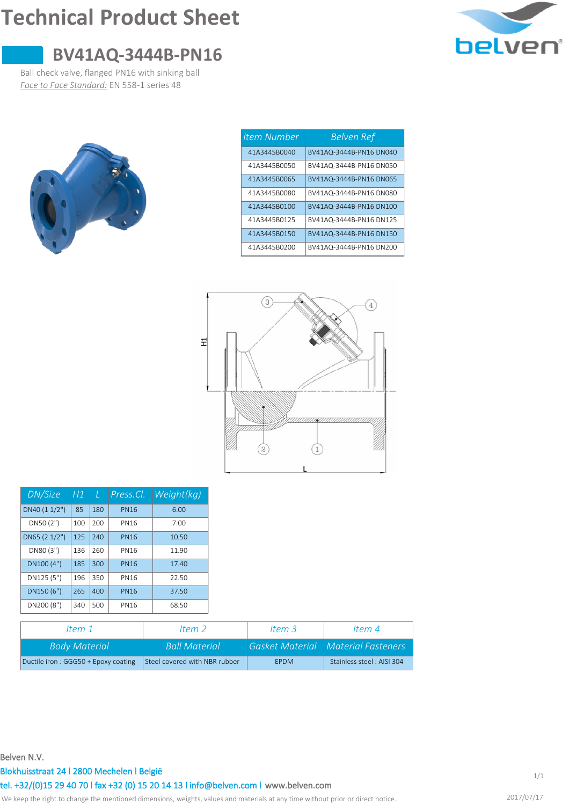# **Technical Product Sheet**



## **BV41AQ-3444B-PN16**

Ball check valve, flanged PN16 with sinking ball *Face to Face Standard:* EN 558-1 series 48



| <b>Item Number</b> | Belven Ref              |
|--------------------|-------------------------|
| 41A3445B0040       | BV41AQ-3444B-PN16 DN040 |
| 41A3445B0050       | BV41AQ-3444B-PN16 DN050 |
| 41A3445B0065       | BV41AQ-3444B-PN16 DN065 |
| 41A3445B0080       | BV41AQ-3444B-PN16 DN080 |
| 41A3445B0100       | BV41AQ-3444B-PN16 DN100 |
| 41A3445B0125       | BV41AQ-3444B-PN16 DN125 |
| 41A3445B0150       | BV41AQ-3444B-PN16 DN150 |
| 41A3445B0200       | BV41AQ-3444B-PN16 DN200 |



| DN/Size       | Η1  | T   | Press.Cl.   | Weight(kg) |
|---------------|-----|-----|-------------|------------|
| DN40 (1 1/2") | 85  | 180 | <b>PN16</b> | 6.00       |
| DN50 (2")     | 100 | 200 | <b>PN16</b> | 7.00       |
| DN65 (2 1/2") | 125 | 240 | <b>PN16</b> | 10.50      |
| DN80 (3")     | 136 | 260 | <b>PN16</b> | 11.90      |
| DN100 (4")    | 185 | 300 | <b>PN16</b> | 17.40      |
| DN125 (5")    | 196 | 350 | <b>PN16</b> | 22.50      |
| DN150 (6")    | 265 | 400 | <b>PN16</b> | 37.50      |
| DN200 (8")    | 340 | 500 | <b>PN16</b> | 68.50      |

| ltem 1                              | ltem 2                        | Item $3$    | ltem 4                              |  |
|-------------------------------------|-------------------------------|-------------|-------------------------------------|--|
| <b>Body Material</b>                | <b>Ball Material</b>          |             | Gasket Material NMaterial Fasteners |  |
| Ductile iron: GGG50 + Epoxy coating | Steel covered with NBR rubber | <b>FPDM</b> | Stainless steel: AISI 304           |  |

#### **Belven N.V.**

#### **Blokhuisstraat 24 l 2800 Mechelen l België**

**[www.belven.com](http://www.belven.com) tel. +32/(0)15 29 40 70 l fax +32 (0) 15 20 14 13 l info@belven.com l**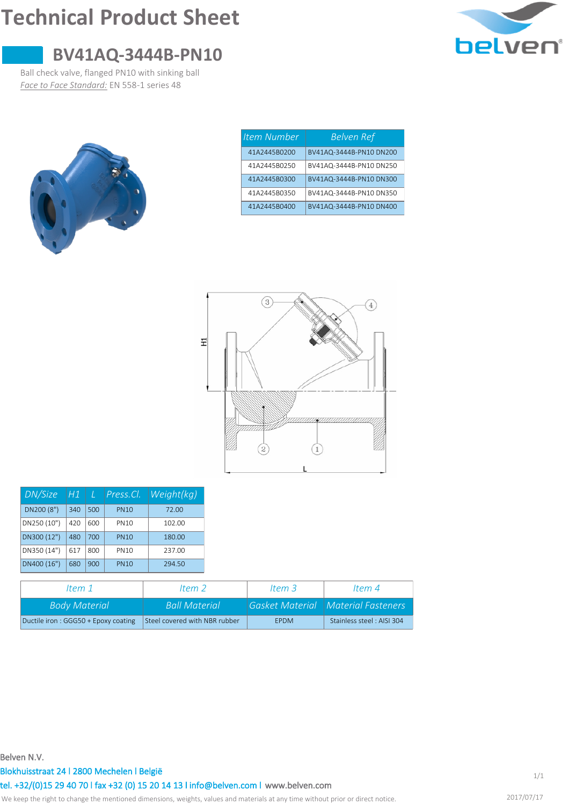# **Technical Product Sheet**



### **BV41AQ-3444B-PN10**

Ball check valve, flanged PN10 with sinking ball *Face to Face Standard:* EN 558-1 series 48



| <b>Item Number</b> | <b>Belven Ref</b>       |
|--------------------|-------------------------|
| 41A2445B0200       | BV41AQ-3444B-PN10 DN200 |
| 41A2445B0250       | BV41AQ-3444B-PN10 DN250 |
| 41A2445B0300       | BV41AQ-3444B-PN10 DN300 |
| 41A2445B0350       | BV41AQ-3444B-PN10 DN350 |
| 41A2445B0400       | BV41AQ-3444B-PN10 DN400 |



| DN/Size     | H1  |     | Press.Cl.   | Weight(kg) |
|-------------|-----|-----|-------------|------------|
| DN200 (8")  | 340 | 500 | <b>PN10</b> | 72.00      |
| DN250 (10") | 420 | 600 | <b>PN10</b> | 102.00     |
| DN300 (12") | 480 | 700 | <b>PN10</b> | 180.00     |
| DN350 (14") | 617 | 800 | <b>PN10</b> | 237.00     |
| DN400 (16") | 680 | 900 | <b>PN10</b> | 294.50     |

| ltem 1                              | ltem 2                        | Item $3$    | ltem 4                                      |
|-------------------------------------|-------------------------------|-------------|---------------------------------------------|
| <b>Body Material</b>                | <b>Ball Material</b>          |             | <b>Gasket Material   Material Fasteners</b> |
| Ductile iron: GGG50 + Epoxy coating | Steel covered with NBR rubber | <b>FPDM</b> | Stainless steel: AISI 304                   |

**Belven N.V.**

**Blokhuisstraat 24 l 2800 Mechelen l België**

**[www.belven.com](http://www.belven.com) tel. +32/(0)15 29 40 70 l fax +32 (0) 15 20 14 13 l info@belven.com l**